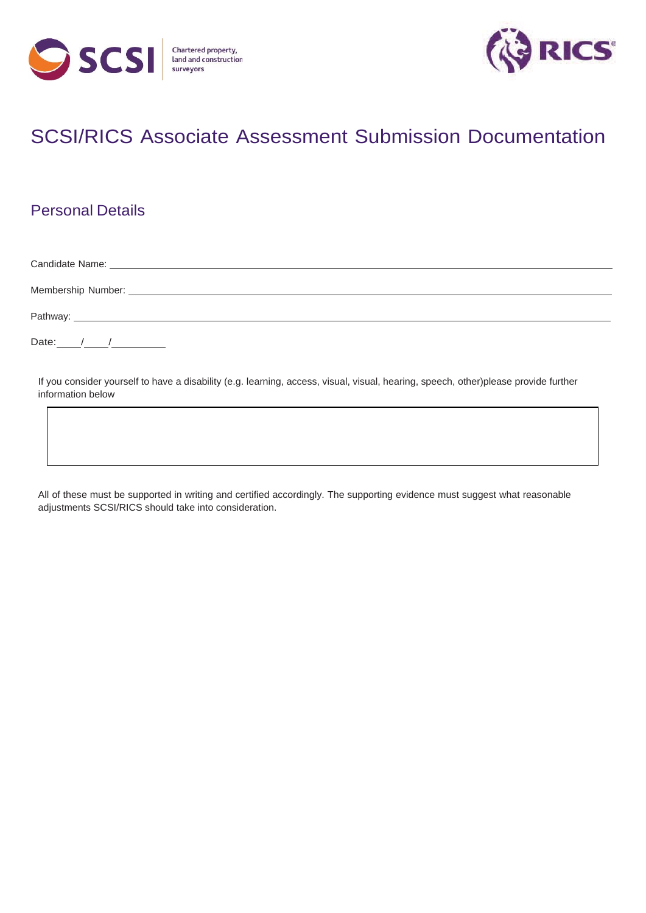



# SCSI/RICS Associate Assessment Submission Documentation

## Personal Details

Candidate Name: Membership Number:

Pathway:

Date: / / /

If you consider yourself to have a disability (e.g. learning, access, visual, visual, hearing, speech, other)please provide further information below

All of these must be supported in writing and certified accordingly. The supporting evidence must suggest what reasonable adjustments SCSI/RICS should take into consideration.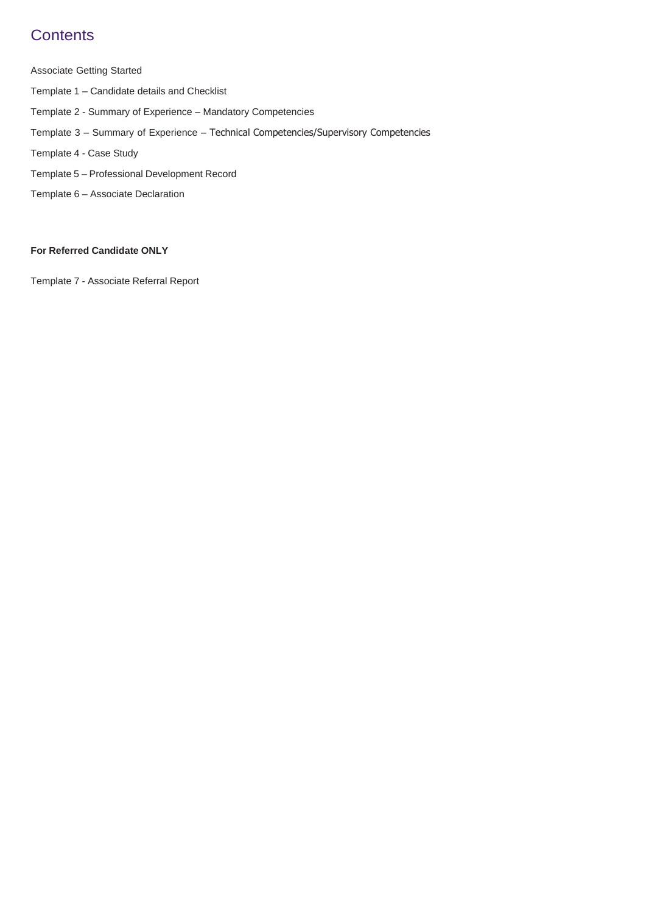## **Contents**

Associate Getting Started

- Template 1 Candidate details and Checklist
- Template 2 Summary of Experience Mandatory Competencies
- Template 3 Summary of Experience Technical Competencies/Supervisory Competencies
- Template 4 Case Study
- Template 5 Professional Development Record
- Template 6 Associate Declaration

#### **For Referred Candidate ONLY**

Template 7 - Associate Referral Report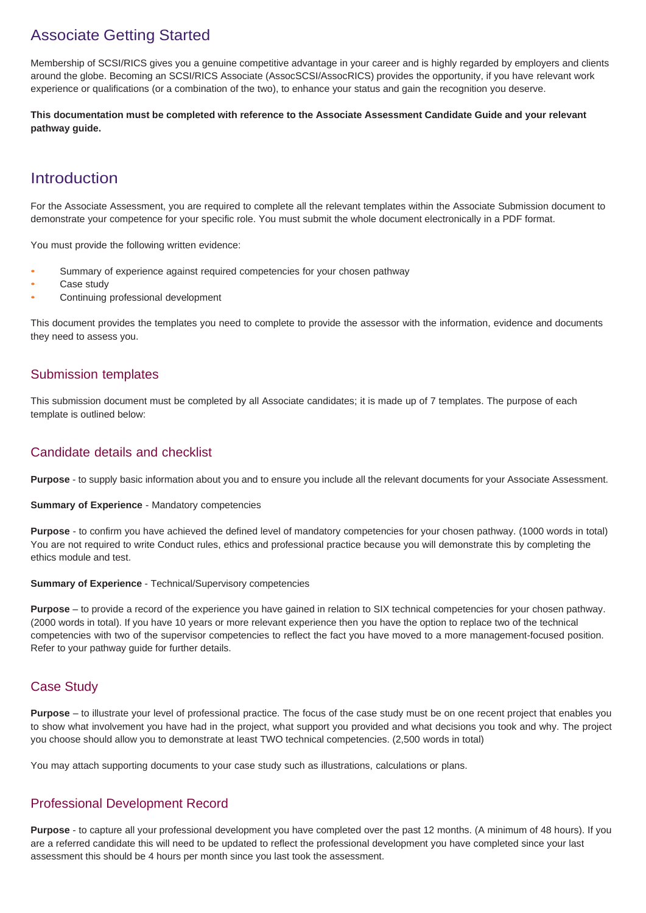## Associate Getting Started

Membership of SCSI/RICS gives you a genuine competitive advantage in your career and is highly regarded by employers and clients around the globe. Becoming an SCSI/RICS Associate (AssocSCSI/AssocRICS) provides the opportunity, if you have relevant work experience or qualifications (or a combination of the two), to enhance your status and gain the recognition you deserve.

**This documentation must be completed with reference to the Associate Assessment Candidate Guide and your relevant pathway guide.**

## **Introduction**

For the Associate Assessment, you are required to complete all the relevant templates within the Associate Submission document to demonstrate your competence for your specific role. You must submit the whole document electronically in a PDF format.

You must provide the following written evidence:

- Summary of experience against required competencies for your chosen pathway
- Case study
- Continuing professional development

This document provides the templates you need to complete to provide the assessor with the information, evidence and documents they need to assess you.

### Submission templates

This submission document must be completed by all Associate candidates; it is made up of 7 templates. The purpose of each template is outlined below:

### Candidate details and checklist

**Purpose** - to supply basic information about you and to ensure you include all the relevant documents for your Associate Assessment.

**Summary of Experience** - Mandatory competencies

**Purpose** - to confirm you have achieved the defined level of mandatory competencies for your chosen pathway. (1000 words in total) You are not required to write Conduct rules, ethics and professional practice because you will demonstrate this by completing the ethics module and test.

#### **Summary of Experience** - Technical/Supervisory competencies

**Purpose** – to provide a record of the experience you have gained in relation to SIX technical competencies for your chosen pathway. (2000 words in total). If you have 10 years or more relevant experience then you have the option to replace two of the technical competencies with two of the supervisor competencies to reflect the fact you have moved to a more management-focused position. Refer to your pathway guide for further details.

### Case Study

**Purpose** – to illustrate your level of professional practice. The focus of the case study must be on one recent project that enables you to show what involvement you have had in the project, what support you provided and what decisions you took and why. The project you choose should allow you to demonstrate at least TWO technical competencies. (2,500 words in total)

You may attach supporting documents to your case study such as illustrations, calculations or plans.

### Professional Development Record

**Purpose** - to capture all your professional development you have completed over the past 12 months. (A minimum of 48 hours). If you are a referred candidate this will need to be updated to reflect the professional development you have completed since your last assessment this should be 4 hours per month since you last took the assessment.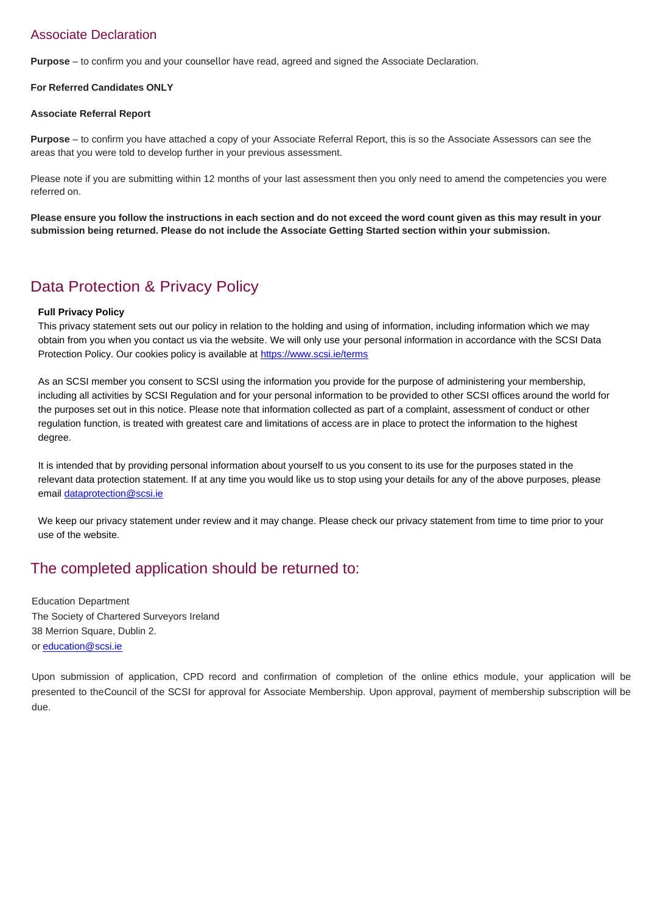### Associate Declaration

**Purpose** – to confirm you and your counsellor have read, agreed and signed the Associate Declaration.

#### **For Referred Candidates ONLY**

#### **Associate Referral Report**

**Purpose** – to confirm you have attached a copy of your Associate Referral Report, this is so the Associate Assessors can see the areas that you were told to develop further in your previous assessment.

Please note if you are submitting within 12 months of your last assessment then you only need to amend the competencies you were referred on.

Please ensure you follow the instructions in each section and do not exceed the word count given as this may result in your **submission being returned. Please do not include the Associate Getting Started section within your submission.**

## Data Protection & Privacy Policy

#### **Full Privacy Policy**

This privacy statement sets out our policy in relation to the holding and using of information, including information which we may obtain from you when you contact us via the website. We will only use your personal information in accordance with the SCSI Data Protection Policy. Our cookies policy is available at<https://www.scsi.ie/terms>

As an SCSI member you consent to SCSI using the information you provide for the purpose of administering your membership, including all activities by SCSI Regulation and for your personal information to be provided to other SCSI offices around the world for the purposes set out in this notice. Please note that information collected as part of a complaint, assessment of conduct or other regulation function, is treated with greatest care and limitations of access are in place to protect the information to the highest degree.

It is intended that by providing personal information about yourself to us you consent to its use for the purposes stated in the relevant data protection statement. If at any time you would like us to stop using your details for any of the above purposes, please email [dataprotection@scsi.ie](mailto:dataprotection@scsi.ie)

We keep our privacy statement under review and it may change. Please check our privacy statement from time to time prior to your use of the website.

## The completed application should be returned to:

Education Department The Society of Chartered Surveyors Ireland 38 Merrion Square, Dublin 2. or [education@scsi.ie](mailto:education@scsi.ie)

Upon submission of application, CPD record and confirmation of completion of the online ethics module, your application will be presented to theCouncil of the SCSI for approval for Associate Membership. Upon approval, payment of membership subscription will be due.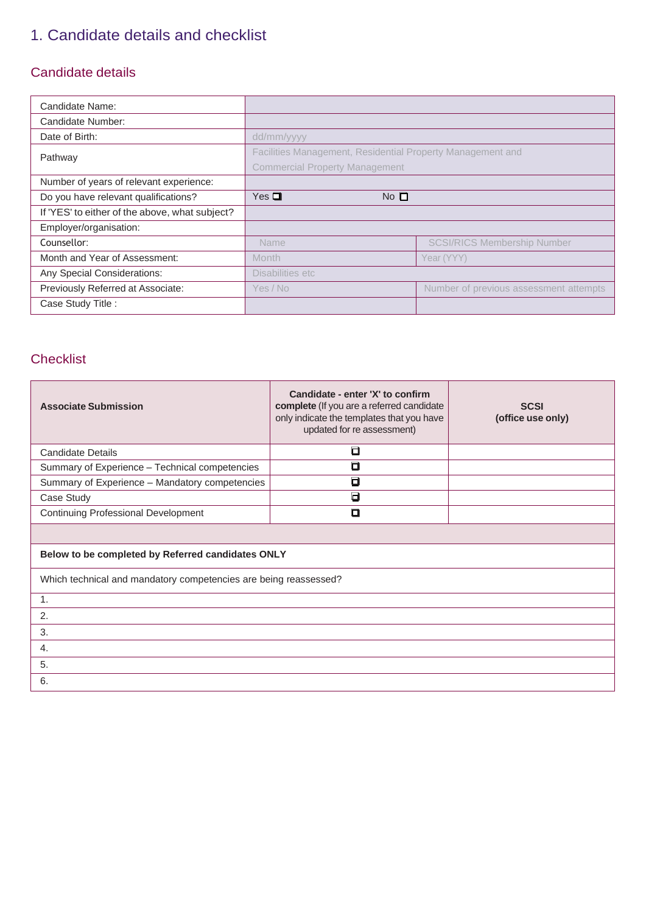## 1. Candidate details and checklist

### Candidate details

| Candidate Name:                                |                                                            |                                        |
|------------------------------------------------|------------------------------------------------------------|----------------------------------------|
| Candidate Number:                              |                                                            |                                        |
| Date of Birth:                                 | dd/mm/yyyy                                                 |                                        |
| Pathway                                        | Facilities Management, Residential Property Management and |                                        |
|                                                | <b>Commercial Property Management</b>                      |                                        |
| Number of years of relevant experience:        |                                                            |                                        |
| Do you have relevant qualifications?           | $Yes \blacksquare$<br>No <sub>l</sub>                      |                                        |
| If 'YES' to either of the above, what subject? |                                                            |                                        |
| Employer/organisation:                         |                                                            |                                        |
| Counsellor:                                    | Name                                                       | <b>SCSI/RICS Membership Number</b>     |
| Month and Year of Assessment:                  | <b>Month</b>                                               | Year (YYY)                             |
| Any Special Considerations:                    | Disabilities etc                                           |                                        |
| Previously Referred at Associate:              | Yes / No                                                   | Number of previous assessment attempts |
| Case Study Title :                             |                                                            |                                        |

### **Checklist**

| <b>Associate Submission</b>                                      | Candidate - enter 'X' to confirm<br>complete (If you are a referred candidate<br>only indicate the templates that you have<br>updated for re assessment) | <b>SCSI</b><br>(office use only) |
|------------------------------------------------------------------|----------------------------------------------------------------------------------------------------------------------------------------------------------|----------------------------------|
| <b>Candidate Details</b>                                         | О                                                                                                                                                        |                                  |
| Summary of Experience - Technical competencies                   | $\Box$                                                                                                                                                   |                                  |
| Summary of Experience - Mandatory competencies                   | о                                                                                                                                                        |                                  |
| Case Study                                                       | $\blacksquare$                                                                                                                                           |                                  |
| <b>Continuing Professional Development</b>                       | ם                                                                                                                                                        |                                  |
|                                                                  |                                                                                                                                                          |                                  |
| Below to be completed by Referred candidates ONLY                |                                                                                                                                                          |                                  |
| Which technical and mandatory competencies are being reassessed? |                                                                                                                                                          |                                  |
| 1.                                                               |                                                                                                                                                          |                                  |
| 2.                                                               |                                                                                                                                                          |                                  |
| 3.                                                               |                                                                                                                                                          |                                  |
| 4.                                                               |                                                                                                                                                          |                                  |
| 5.                                                               |                                                                                                                                                          |                                  |
| 6.                                                               |                                                                                                                                                          |                                  |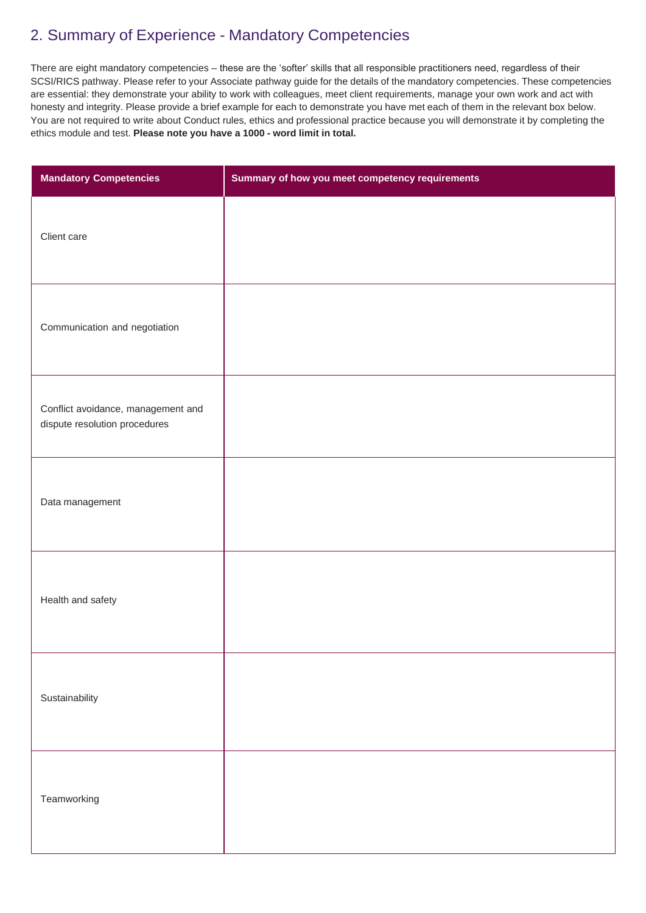## 2. Summary of Experience - Mandatory Competencies

There are eight mandatory competencies – these are the 'softer' skills that all responsible practitioners need, regardless of their SCSI/RICS pathway. Please refer to your Associate pathway guide for the details of the mandatory competencies. These competencies are essential: they demonstrate your ability to work with colleagues, meet client requirements, manage your own work and act with honesty and integrity. Please provide a brief example for each to demonstrate you have met each of them in the relevant box below. You are not required to write about Conduct rules, ethics and professional practice because you will demonstrate it by completing the ethics module and test. **Please note you have a 1000 - word limit in total.**

| <b>Mandatory Competencies</b>                                       | Summary of how you meet competency requirements |
|---------------------------------------------------------------------|-------------------------------------------------|
| Client care                                                         |                                                 |
| Communication and negotiation                                       |                                                 |
| Conflict avoidance, management and<br>dispute resolution procedures |                                                 |
| Data management                                                     |                                                 |
| Health and safety                                                   |                                                 |
| Sustainability                                                      |                                                 |
| Teamworking                                                         |                                                 |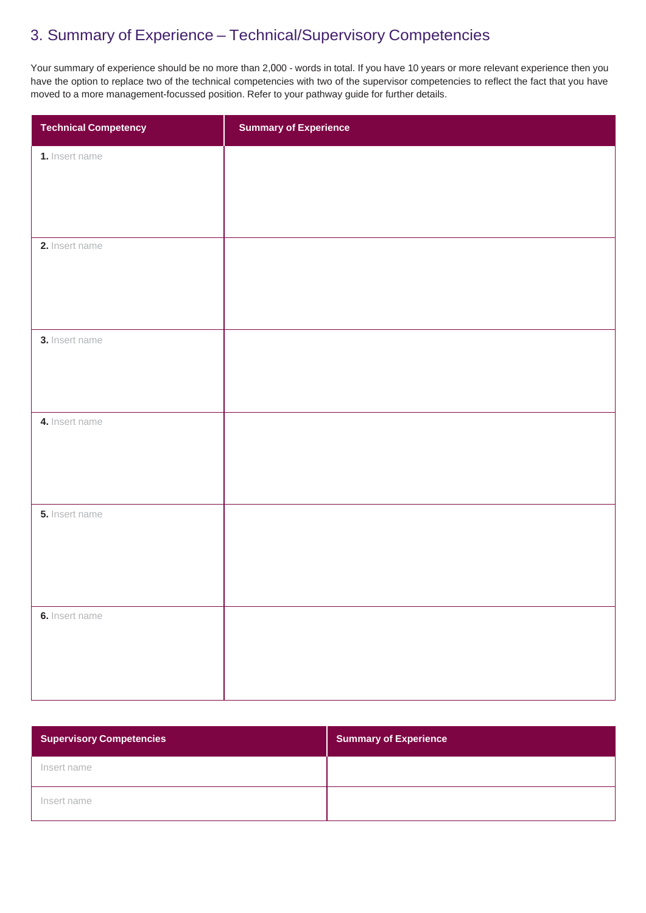## 3. Summary of Experience – Technical/Supervisory Competencies

Your summary of experience should be no more than 2,000 - words in total. If you have 10 years or more relevant experience then you have the option to replace two of the technical competencies with two of the supervisor competencies to reflect the fact that you have moved to a more management-focussed position. Refer to your pathway guide for further details.

| <b>Technical Competency</b> | <b>Summary of Experience</b> |
|-----------------------------|------------------------------|
| 1. Insert name              |                              |
|                             |                              |
|                             |                              |
| 2. Insert name              |                              |
|                             |                              |
|                             |                              |
| 3. Insert name              |                              |
|                             |                              |
|                             |                              |
| 4. Insert name              |                              |
|                             |                              |
|                             |                              |
| 5. Insert name              |                              |
|                             |                              |
|                             |                              |
| 6. Insert name              |                              |
|                             |                              |
|                             |                              |
|                             |                              |

| <b>Supervisory Competencies</b> | <b>Summary of Experience</b> |
|---------------------------------|------------------------------|
| Insert name                     |                              |
| Insert name                     |                              |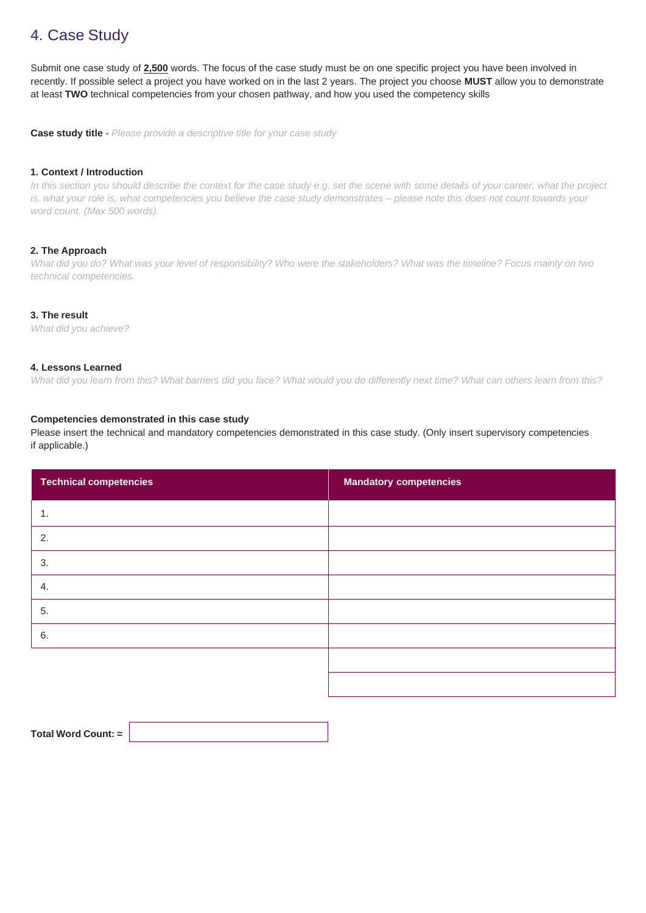## 4. Case Study

Submit one case study of **2,500** words. The focus of the case study must be on one specific project you have been involved in recently. If possible select a project you have worked on in the last 2 years. The project you choose **MUST** allow you to demonstrate at least **TWO** technical competencies from your chosen pathway, and how you used the competency skills

**Case study title** - *Please provide a descriptive title for your case study*

#### **1. Context / Introduction**

In this section you should describe the context for the case study e.g. set the scene with some details of your career, what the project *is, what your role is, what competencies you believe the case study demonstrates – please note this does not count towards your word count. (Max 500 words).*

#### **2. The Approach**

*What did you do? What was your level of responsibility? Who were the stakeholders? What was the timeline? Focus mainly on two technical competencies.*

#### **3. The result**

*What did you achieve?*

#### **4. Lessons Learned**

*What did you learn from this? What barriers did you face? What would you do differently next time? What can others learn from this?*

#### **Competencies demonstrated in this case study**

Please insert the technical and mandatory competencies demonstrated in this case study. (Only insert supervisory competencies if applicable.)

| <b>Technical competencies</b> | <b>Mandatory competencies</b> |
|-------------------------------|-------------------------------|
| 1.                            |                               |
| 2.                            |                               |
| 3.                            |                               |
| 4.                            |                               |
| 5.                            |                               |
| 6.                            |                               |
|                               |                               |
|                               |                               |

| Total Word Count: = |
|---------------------|
|                     |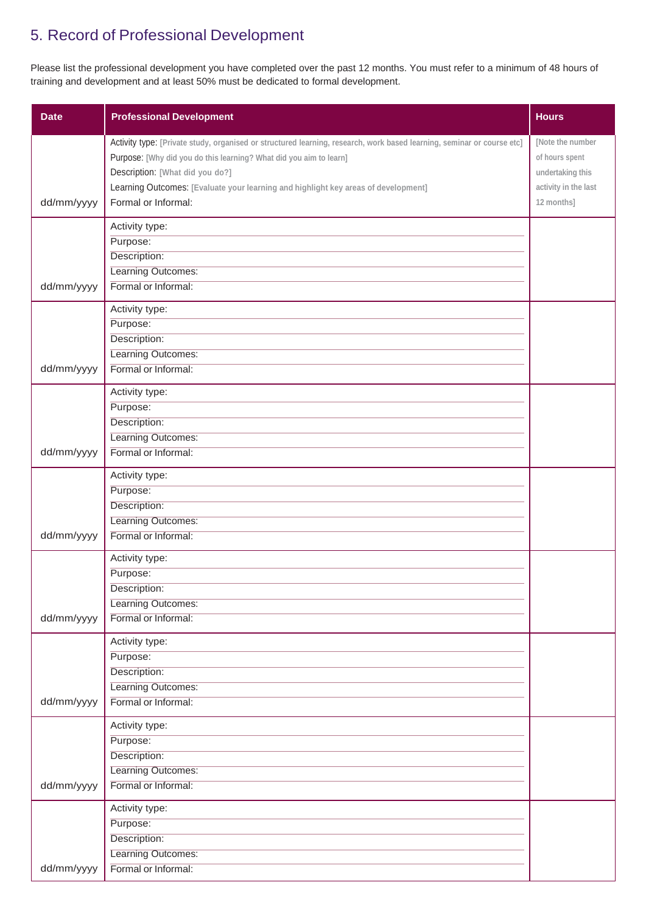## 5. Record of Professional Development

Please list the professional development you have completed over the past 12 months. You must refer to a minimum of 48 hours of training and development and at least 50% must be dedicated to formal development.

| <b>Date</b> | <b>Professional Development</b>                                                                                                                                                                                                                                                                                                              | <b>Hours</b>                                                                                 |
|-------------|----------------------------------------------------------------------------------------------------------------------------------------------------------------------------------------------------------------------------------------------------------------------------------------------------------------------------------------------|----------------------------------------------------------------------------------------------|
| dd/mm/yyyy  | Activity type: [Private study, organised or structured learning, research, work based learning, seminar or course etc]<br>Purpose: [Why did you do this learning? What did you aim to learn]<br>Description: [What did you do?]<br>Learning Outcomes: [Evaluate your learning and highlight key areas of development]<br>Formal or Informal: | [Note the number<br>of hours spent<br>undertaking this<br>activity in the last<br>12 months] |
| dd/mm/yyyy  | Activity type:<br>Purpose:<br>Description:<br>Learning Outcomes:<br>Formal or Informal:                                                                                                                                                                                                                                                      |                                                                                              |
| dd/mm/yyyy  | Activity type:<br>Purpose:<br>Description:<br>Learning Outcomes:<br>Formal or Informal:                                                                                                                                                                                                                                                      |                                                                                              |
| dd/mm/yyyy  | Activity type:<br>Purpose:<br>Description:<br>Learning Outcomes:<br>Formal or Informal:                                                                                                                                                                                                                                                      |                                                                                              |
| dd/mm/yyyy  | Activity type:<br>Purpose:<br>Description:<br>Learning Outcomes:<br>Formal or Informal:                                                                                                                                                                                                                                                      |                                                                                              |
| dd/mm/yyyy  | Activity type:<br>Purpose:<br>Description:<br>Learning Outcomes:<br>Formal or Informal:                                                                                                                                                                                                                                                      |                                                                                              |
| dd/mm/yyyy  | Activity type:<br>Purpose:<br>Description:<br>Learning Outcomes:<br>Formal or Informal:                                                                                                                                                                                                                                                      |                                                                                              |
| dd/mm/yyyy  | Activity type:<br>Purpose:<br>Description:<br>Learning Outcomes:<br>Formal or Informal:                                                                                                                                                                                                                                                      |                                                                                              |
| dd/mm/yyyy  | Activity type:<br>Purpose:<br>Description:<br>Learning Outcomes:<br>Formal or Informal:                                                                                                                                                                                                                                                      |                                                                                              |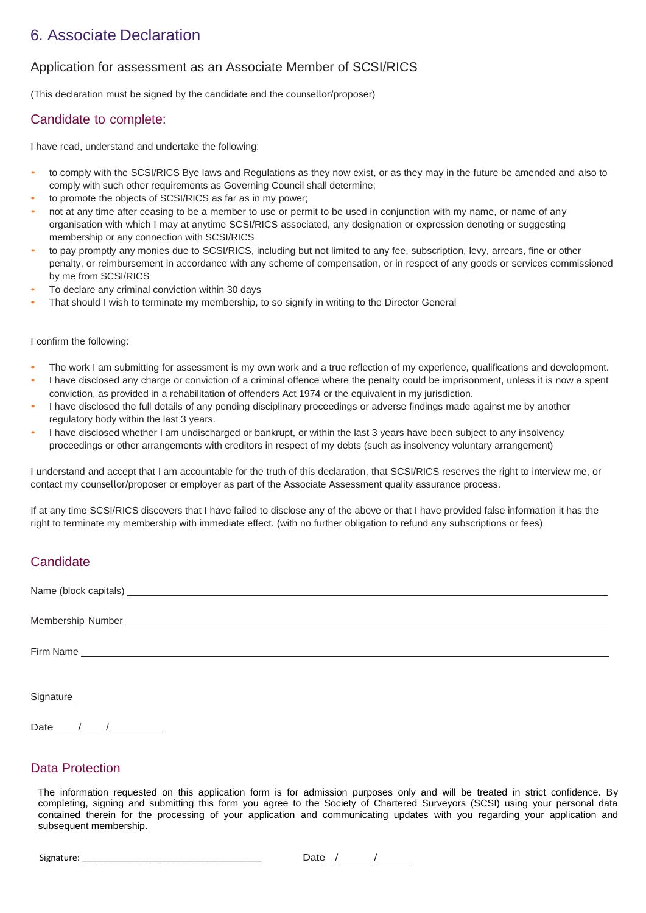## 6. Associate Declaration

### Application for assessment as an Associate Member of SCSI/RICS

(This declaration must be signed by the candidate and the counsellor/proposer)

#### Candidate to complete:

I have read, understand and undertake the following:

- to comply with the SCSI/RICS Bye laws and Regulations as they now exist, or as they may in the future be amended and also to comply with such other requirements as Governing Council shall determine;
- to promote the objects of SCSI/RICS as far as in my power;
- not at any time after ceasing to be a member to use or permit to be used in conjunction with my name, or name of any organisation with which I may at anytime SCSI/RICS associated, any designation or expression denoting or suggesting membership or any connection with SCSI/RICS
- to pay promptly any monies due to SCSI/RICS, including but not limited to any fee, subscription, levy, arrears, fine or other penalty, or reimbursement in accordance with any scheme of compensation, or in respect of any goods or services commissioned by me from SCSI/RICS
- To declare any criminal conviction within 30 days
- That should I wish to terminate my membership, to so signify in writing to the Director General

#### I confirm the following:

- The work I am submitting for assessment is my own work and a true reflection of my experience, qualifications and development.
- I have disclosed any charge or conviction of a criminal offence where the penalty could be imprisonment, unless it is now a spent conviction, as provided in a rehabilitation of offenders Act 1974 or the equivalent in my jurisdiction.
- I have disclosed the full details of any pending disciplinary proceedings or adverse findings made against me by another regulatory body within the last 3 years.
- I have disclosed whether I am undischarged or bankrupt, or within the last 3 years have been subject to any insolvency proceedings or other arrangements with creditors in respect of my debts (such as insolvency voluntary arrangement)

I understand and accept that I am accountable for the truth of this declaration, that SCSI/RICS reserves the right to interview me, or contact my counsellor/proposer or employer as part of the Associate Assessment quality assurance process.

If at any time SCSI/RICS discovers that I have failed to disclose any of the above or that I have provided false information it has the right to terminate my membership with immediate effect. (with no further obligation to refund any subscriptions or fees)

### **Candidate**

Date / /

### Data Protection

The information requested on this application form is for admission purposes only and will be treated in strict confidence. By completing, signing and submitting this form you agree to the Society of Chartered Surveyors (SCSI) using your personal data contained therein for the processing of your application and communicating updates with you regarding your application and subsequent membership.

Signature:  $\frac{1}{2}$  Signature: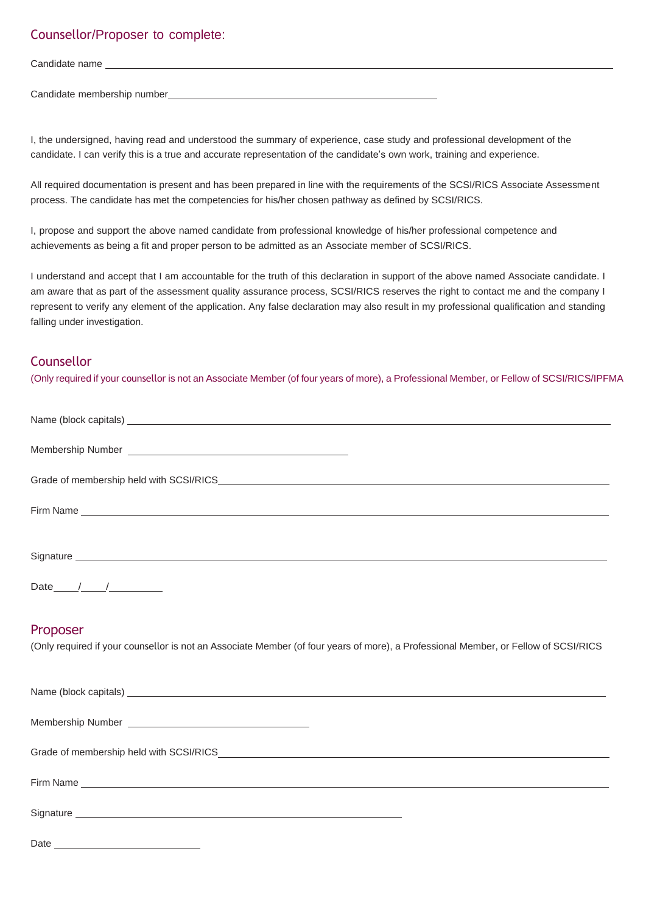### Counsellor/Proposer to complete:

| Candidate name               |  |
|------------------------------|--|
|                              |  |
| Candidate membership number_ |  |

I, the undersigned, having read and understood the summary of experience, case study and professional development of the candidate. I can verify this is a true and accurate representation of the candidate's own work, training and experience.

All required documentation is present and has been prepared in line with the requirements of the SCSI/RICS Associate Assessment process. The candidate has met the competencies for his/her chosen pathway as defined by SCSI/RICS.

I, propose and support the above named candidate from professional knowledge of his/her professional competence and achievements as being a fit and proper person to be admitted as an Associate member of SCSI/RICS.

I understand and accept that I am accountable for the truth of this declaration in support of the above named Associate candidate. I am aware that as part of the assessment quality assurance process, SCSI/RICS reserves the right to contact me and the company I represent to verify any element of the application. Any false declaration may also result in my professional qualification and standing falling under investigation.

### **Counsellor**

(Only required if your counsellor is not an Associate Member (of four years of more), a Professional Member, or Fellow of SCSI/RICS/IPFMA

| Date $/$ / $/$                                                                                                                      |
|-------------------------------------------------------------------------------------------------------------------------------------|
|                                                                                                                                     |
|                                                                                                                                     |
| Proposer                                                                                                                            |
| (Only required if your counsellor is not an Associate Member (of four years of more), a Professional Member, or Fellow of SCSI/RICS |
|                                                                                                                                     |
|                                                                                                                                     |
|                                                                                                                                     |
|                                                                                                                                     |
|                                                                                                                                     |
|                                                                                                                                     |
|                                                                                                                                     |
|                                                                                                                                     |
|                                                                                                                                     |

Signature

Date